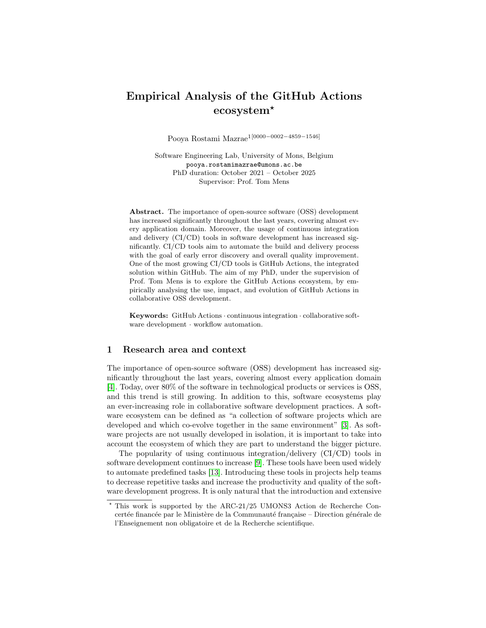# Empirical Analysis of the GitHub Actions ecosystem<sup>\*</sup>

Pooya Rostami Mazrae1[0000−0002−4859−1546]

Software Engineering Lab, University of Mons, Belgium pooya.rostamimazrae@umons.ac.be PhD duration: October 2021 – October 2025 Supervisor: Prof. Tom Mens

Abstract. The importance of open-source software (OSS) development has increased significantly throughout the last years, covering almost every application domain. Moreover, the usage of continuous integration and delivery (CI/CD) tools in software development has increased significantly. CI/CD tools aim to automate the build and delivery process with the goal of early error discovery and overall quality improvement. One of the most growing CI/CD tools is GitHub Actions, the integrated solution within GitHub. The aim of my PhD, under the supervision of Prof. Tom Mens is to explore the GitHub Actions ecosystem, by empirically analysing the use, impact, and evolution of GitHub Actions in collaborative OSS development.

Keywords: GitHub Actions · continuous integration · collaborative software development · workflow automation.

#### 1 Research area and context

The importance of open-source software (OSS) development has increased significantly throughout the last years, covering almost every application domain [\[4\]](#page-5-0). Today, over 80% of the software in technological products or services is OSS, and this trend is still growing. In addition to this, software ecosystems play an ever-increasing role in collaborative software development practices. A software ecosystem can be defined as "a collection of software projects which are developed and which co-evolve together in the same environment" [\[3\]](#page-5-1). As software projects are not usually developed in isolation, it is important to take into account the ecosystem of which they are part to understand the bigger picture.

The popularity of using continuous integration/delivery (CI/CD) tools in software development continues to increase [\[9\]](#page-5-2). These tools have been used widely to automate predefined tasks [\[13\]](#page-5-3). Introducing these tools in projects help teams to decrease repetitive tasks and increase the productivity and quality of the software development progress. It is only natural that the introduction and extensive

<sup>⋆</sup> This work is supported by the ARC-21/25 UMONS3 Action de Recherche Concertée financée par le Ministère de la Communauté française – Direction générale de l'Enseignement non obligatoire et de la Recherche scientifique.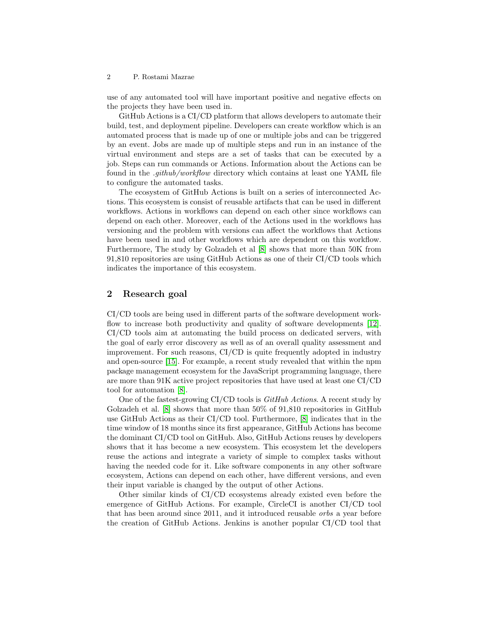#### 2 P. Rostami Mazrae

use of any automated tool will have important positive and negative effects on the projects they have been used in.

GitHub Actions is a CI/CD platform that allows developers to automate their build, test, and deployment pipeline. Developers can create workflow which is an automated process that is made up of one or multiple jobs and can be triggered by an event. Jobs are made up of multiple steps and run in an instance of the virtual environment and steps are a set of tasks that can be executed by a job. Steps can run commands or Actions. Information about the Actions can be found in the .github/workflow directory which contains at least one YAML file to configure the automated tasks.

The ecosystem of GitHub Actions is built on a series of interconnected Actions. This ecosystem is consist of reusable artifacts that can be used in different workflows. Actions in workflows can depend on each other since workflows can depend on each other. Moreover, each of the Actions used in the workflows has versioning and the problem with versions can affect the workflows that Actions have been used in and other workflows which are dependent on this workflow. Furthermore, The study by Golzadeh et al [\[8\]](#page-5-4) shows that more than 50K from 91,810 repositories are using GitHub Actions as one of their CI/CD tools which indicates the importance of this ecosystem.

## 2 Research goal

CI/CD tools are being used in different parts of the software development workflow to increase both productivity and quality of software developments [\[12\]](#page-5-5). CI/CD tools aim at automating the build process on dedicated servers, with the goal of early error discovery as well as of an overall quality assessment and improvement. For such reasons, CI/CD is quite frequently adopted in industry and open-source [\[15\]](#page-5-6). For example, a recent study revealed that within the npm package management ecosystem for the JavaScript programming language, there are more than 91K active project repositories that have used at least one CI/CD tool for automation [\[8\]](#page-5-4).

One of the fastest-growing CI/CD tools is  $GitHub$  Actions. A recent study by Golzadeh et al. [\[8\]](#page-5-4) shows that more than 50% of 91,810 repositories in GitHub use GitHub Actions as their CI/CD tool. Furthermore, [\[8\]](#page-5-4) indicates that in the time window of 18 months since its first appearance, GitHub Actions has become the dominant CI/CD tool on GitHub. Also, GitHub Actions reuses by developers shows that it has become a new ecosystem. This ecosystem let the developers reuse the actions and integrate a variety of simple to complex tasks without having the needed code for it. Like software components in any other software ecosystem, Actions can depend on each other, have different versions, and even their input variable is changed by the output of other Actions.

Other similar kinds of CI/CD ecosystems already existed even before the emergence of GitHub Actions. For example, CircleCI is another CI/CD tool that has been around since 2011, and it introduced reusable orbs a year before the creation of GitHub Actions. Jenkins is another popular CI/CD tool that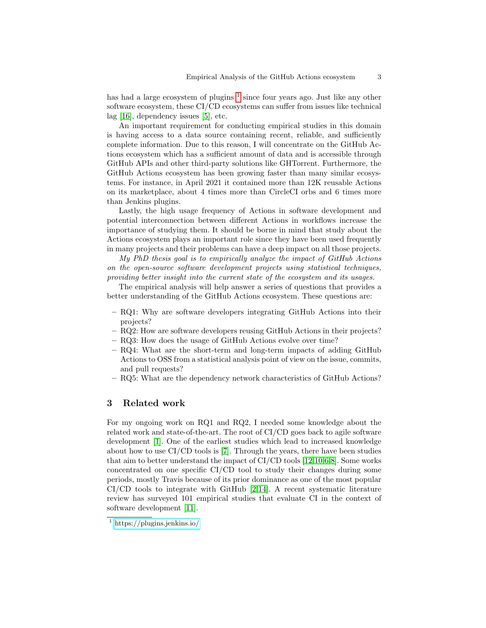has had a large ecosystem of plugins <sup>[1](#page-2-0)</sup> since four years ago. Just like any other software ecosystem, these CI/CD ecosystems can suffer from issues like technical lag [\[16\]](#page-5-7), dependency issues [\[5\]](#page-5-8), etc.

An important requirement for conducting empirical studies in this domain is having access to a data source containing recent, reliable, and sufficiently complete information. Due to this reason, I will concentrate on the GitHub Actions ecosystem which has a sufficient amount of data and is accessible through GitHub APIs and other third-party solutions like GHTorrent. Furthermore, the GitHub Actions ecosystem has been growing faster than many similar ecosystems. For instance, in April 2021 it contained more than 12K reusable Actions on its marketplace, about 4 times more than CircleCI orbs and 6 times more than Jenkins plugins.

Lastly, the high usage frequency of Actions in software development and potential interconnection between different Actions in workflows increase the importance of studying them. It should be borne in mind that study about the Actions ecosystem plays an important role since they have been used frequently in many projects and their problems can have a deep impact on all those projects.

My PhD thesis goal is to empirically analyze the impact of GitHub Actions on the open-source software development projects using statistical techniques, providing better insight into the current state of the ecosystem and its usages.

The empirical analysis will help answer a series of questions that provides a better understanding of the GitHub Actions ecosystem. These questions are:

- RQ1: Why are software developers integrating GitHub Actions into their projects?
- RQ2: How are software developers reusing GitHub Actions in their projects?
- RQ3: How does the usage of GitHub Actions evolve over time?
- RQ4: What are the short-term and long-term impacts of adding GitHub Actions to OSS from a statistical analysis point of view on the issue, commits, and pull requests?
- RQ5: What are the dependency network characteristics of GitHub Actions?

#### 3 Related work

For my ongoing work on RQ1 and RQ2, I needed some knowledge about the related work and state-of-the-art. The root of CI/CD goes back to agile software development [\[1\]](#page-5-9). One of the earliest studies which lead to increased knowledge about how to use CI/CD tools is [\[7\]](#page-5-10). Through the years, there have been studies that aim to better understand the impact of CI/CD tools [\[12,](#page-5-5)[10](#page-5-11)[,6,](#page-5-12)[8\]](#page-5-4). Some works concentrated on one specific CI/CD tool to study their changes during some periods, mostly Travis because of its prior dominance as one of the most popular  $CI/CD$  tools to integrate with GitHub [\[2,](#page-5-13)[14\]](#page-5-14). A recent systematic literature review has surveyed 101 empirical studies that evaluate CI in the context of software development [\[11\]](#page-5-15).

<span id="page-2-0"></span><sup>1</sup> <https://plugins.jenkins.io/>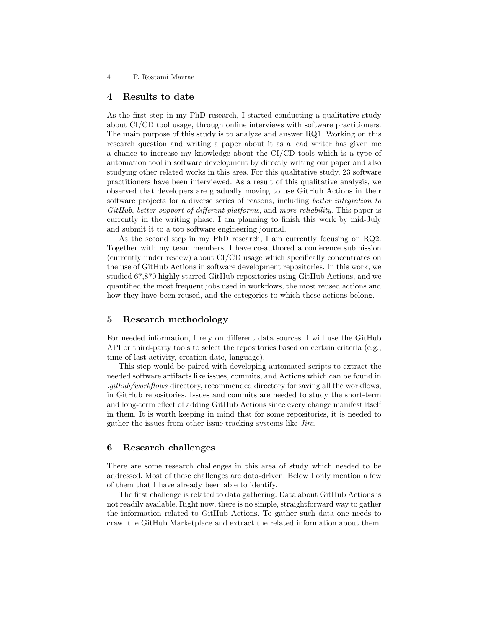4 P. Rostami Mazrae

### 4 Results to date

As the first step in my PhD research, I started conducting a qualitative study about CI/CD tool usage, through online interviews with software practitioners. The main purpose of this study is to analyze and answer RQ1. Working on this research question and writing a paper about it as a lead writer has given me a chance to increase my knowledge about the CI/CD tools which is a type of automation tool in software development by directly writing our paper and also studying other related works in this area. For this qualitative study, 23 software practitioners have been interviewed. As a result of this qualitative analysis, we observed that developers are gradually moving to use GitHub Actions in their software projects for a diverse series of reasons, including *better integration to* GitHub, better support of different platforms, and more reliability. This paper is currently in the writing phase. I am planning to finish this work by mid-July and submit it to a top software engineering journal.

As the second step in my PhD research, I am currently focusing on RQ2. Together with my team members, I have co-authored a conference submission (currently under review) about CI/CD usage which specifically concentrates on the use of GitHub Actions in software development repositories. In this work, we studied 67,870 highly starred GitHub repositories using GitHub Actions, and we quantified the most frequent jobs used in workflows, the most reused actions and how they have been reused, and the categories to which these actions belong.

#### 5 Research methodology

For needed information, I rely on different data sources. I will use the GitHub API or third-party tools to select the repositories based on certain criteria (e.g., time of last activity, creation date, language).

This step would be paired with developing automated scripts to extract the needed software artifacts like issues, commits, and Actions which can be found in .github/workflows directory, recommended directory for saving all the workflows, in GitHub repositories. Issues and commits are needed to study the short-term and long-term effect of adding GitHub Actions since every change manifest itself in them. It is worth keeping in mind that for some repositories, it is needed to gather the issues from other issue tracking systems like Jira.

#### 6 Research challenges

There are some research challenges in this area of study which needed to be addressed. Most of these challenges are data-driven. Below I only mention a few of them that I have already been able to identify.

The first challenge is related to data gathering. Data about GitHub Actions is not readily available. Right now, there is no simple, straightforward way to gather the information related to GitHub Actions. To gather such data one needs to crawl the GitHub Marketplace and extract the related information about them.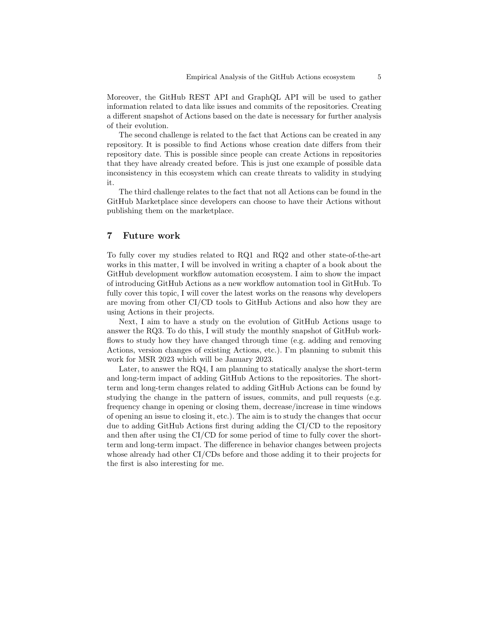Moreover, the GitHub REST API and GraphQL API will be used to gather information related to data like issues and commits of the repositories. Creating a different snapshot of Actions based on the date is necessary for further analysis of their evolution.

The second challenge is related to the fact that Actions can be created in any repository. It is possible to find Actions whose creation date differs from their repository date. This is possible since people can create Actions in repositories that they have already created before. This is just one example of possible data inconsistency in this ecosystem which can create threats to validity in studying it.

The third challenge relates to the fact that not all Actions can be found in the GitHub Marketplace since developers can choose to have their Actions without publishing them on the marketplace.

#### 7 Future work

To fully cover my studies related to RQ1 and RQ2 and other state-of-the-art works in this matter, I will be involved in writing a chapter of a book about the GitHub development workflow automation ecosystem. I aim to show the impact of introducing GitHub Actions as a new workflow automation tool in GitHub. To fully cover this topic, I will cover the latest works on the reasons why developers are moving from other CI/CD tools to GitHub Actions and also how they are using Actions in their projects.

Next, I aim to have a study on the evolution of GitHub Actions usage to answer the RQ3. To do this, I will study the monthly snapshot of GitHub workflows to study how they have changed through time (e.g. adding and removing Actions, version changes of existing Actions, etc.). I'm planning to submit this work for MSR 2023 which will be January 2023.

Later, to answer the RQ4, I am planning to statically analyse the short-term and long-term impact of adding GitHub Actions to the repositories. The shortterm and long-term changes related to adding GitHub Actions can be found by studying the change in the pattern of issues, commits, and pull requests (e.g. frequency change in opening or closing them, decrease/increase in time windows of opening an issue to closing it, etc.). The aim is to study the changes that occur due to adding GitHub Actions first during adding the CI/CD to the repository and then after using the CI/CD for some period of time to fully cover the shortterm and long-term impact. The difference in behavior changes between projects whose already had other CI/CDs before and those adding it to their projects for the first is also interesting for me.